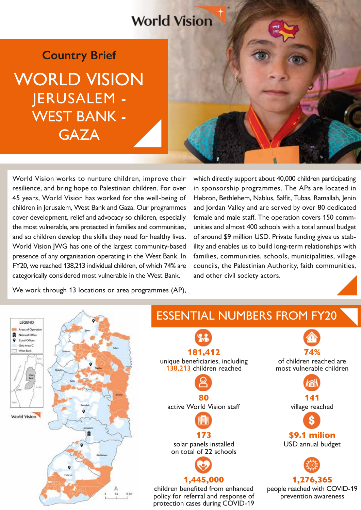## **World Vision**

WORLD VISION JERUSALEM - WEST BANK - **GAZA Country Brief**

World Vision works to nurture children, improve their resilience, and bring hope to Palestinian children. For over 45 years, World Vision has worked for the well-being of children in Jerusalem, West Bank and Gaza. Our programmes cover development, relief and advocacy so children, especially the most vulnerable, are protected in families and communities, and so children develop the skills they need for healthy lives. World Vision JWG has one of the largest community-based presence of any organisation operating in the West Bank. In FY20, we reached 138,213 individual children, of which 74% are categorically considered most vulnerable in the West Bank.

which directly support about 40,000 children participating in sponsorship programmes. The APs are located in Hebron, Bethlehem, Nablus, Salfit, Tubas, Ramallah, Jenin and Jordan Valley and are served by over 80 dedicated female and male staff. The operation covers 150 communities and almost 400 schools with a total annual budget of around \$9 million USD. Private funding gives us stability and enables us to build long-term relationships with families, communities, schools, municipalities, village councils, the Palestinian Authority, faith communities, and other civil society actors.

We work through 13 locations or area programmes (AP),